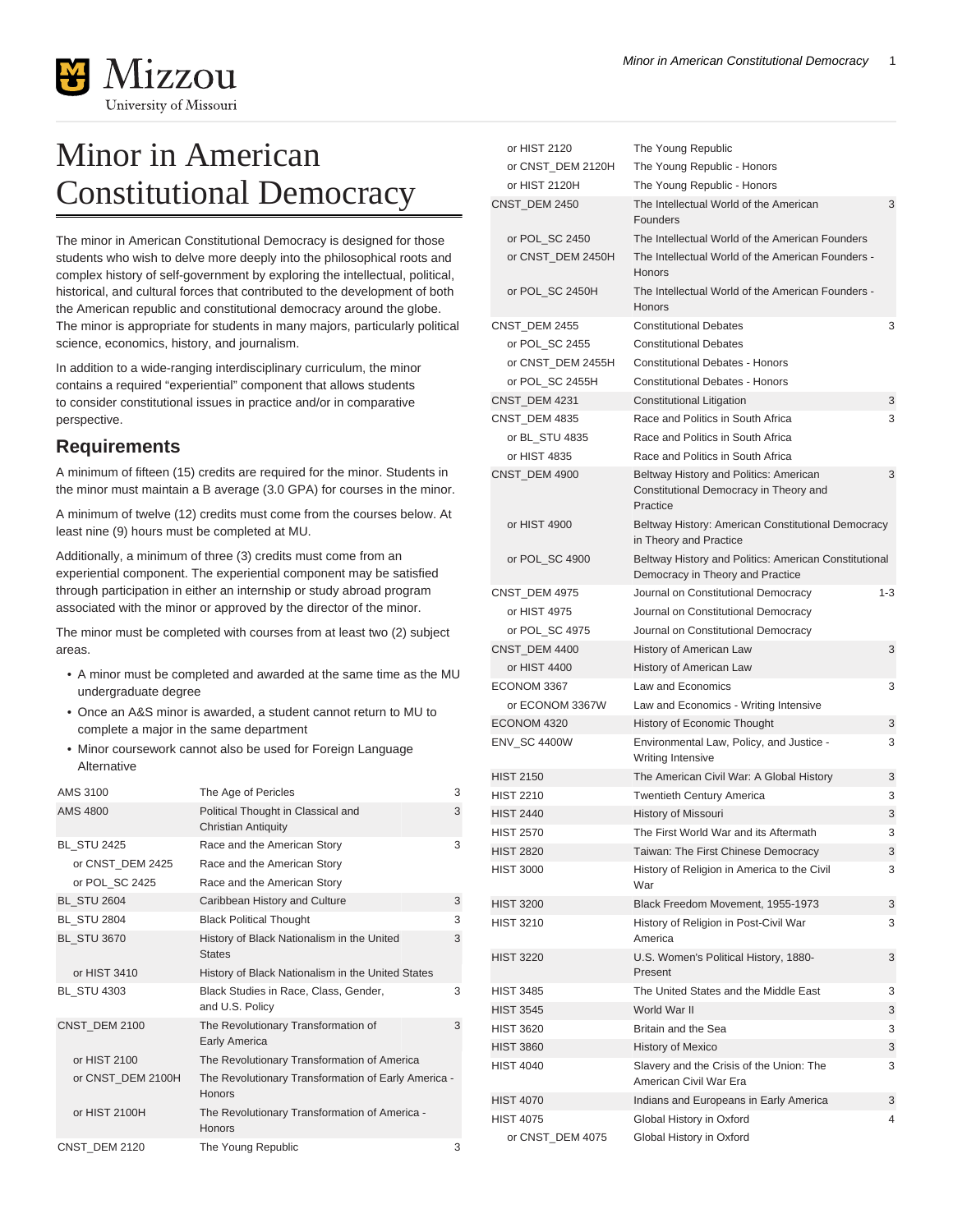

## Minor in American Constitutional Democracy

The minor in American Constitutional Democracy is designed for those students who wish to delve more deeply into the philosophical roots and complex history of self-government by exploring the intellectual, political, historical, and cultural forces that contributed to the development of both the American republic and constitutional democracy around the globe. The minor is appropriate for students in many majors, particularly political science, economics, history, and journalism.

In addition to a wide-ranging interdisciplinary curriculum, the minor contains a required "experiential" component that allows students to consider constitutional issues in practice and/or in comparative perspective.

## **Requirements**

A minimum of fifteen (15) credits are required for the minor. Students in the minor must maintain a B average (3.0 GPA) for courses in the minor.

A minimum of twelve (12) credits must come from the courses below. At least nine (9) hours must be completed at MU.

Additionally, a minimum of three (3) credits must come from an experiential component. The experiential component may be satisfied through participation in either an internship or study abroad program associated with the minor or approved by the director of the minor.

The minor must be completed with courses from at least two (2) subject areas.

- A minor must be completed and awarded at the same time as the MU undergraduate degree
- Once an A&S minor is awarded, a student cannot return to MU to complete a major in the same department
- Minor coursework cannot also be used for Foreign Language Alternative

| AMS 3100           | The Age of Pericles                                                  | 3 |
|--------------------|----------------------------------------------------------------------|---|
| <b>AMS 4800</b>    | Political Thought in Classical and<br><b>Christian Antiquity</b>     | 3 |
| <b>BL STU 2425</b> | Race and the American Story                                          | 3 |
| or CNST_DEM 2425   | Race and the American Story                                          |   |
| or POL_SC 2425     | Race and the American Story                                          |   |
| <b>BL_STU 2604</b> | Caribbean History and Culture                                        | 3 |
| <b>BL STU 2804</b> | <b>Black Political Thought</b>                                       | 3 |
| <b>BL_STU 3670</b> | History of Black Nationalism in the United<br><b>States</b>          | 3 |
| or HIST 3410       | History of Black Nationalism in the United States                    |   |
| <b>BL STU 4303</b> | Black Studies in Race, Class, Gender,<br>and U.S. Policy             | 3 |
| CNST_DEM 2100      | The Revolutionary Transformation of<br><b>Early America</b>          | 3 |
| or HIST 2100       | The Revolutionary Transformation of America                          |   |
| or CNST_DEM 2100H  | The Revolutionary Transformation of Early America -<br><b>Honors</b> |   |
| or HIST 2100H      | The Revolutionary Transformation of America -<br><b>Honors</b>       |   |
| CNST DEM 2120      | The Young Republic                                                   | 3 |

| or HIST 2120      | The Young Republic                                                                           |         |
|-------------------|----------------------------------------------------------------------------------------------|---------|
| or CNST DEM 2120H | The Young Republic - Honors                                                                  |         |
| or HIST 2120H     | The Young Republic - Honors                                                                  |         |
| CNST DEM 2450     | The Intellectual World of the American<br>Founders                                           | 3       |
| or POL_SC 2450    | The Intellectual World of the American Founders                                              |         |
| or CNST_DEM 2450H | The Intellectual World of the American Founders -<br>Honors                                  |         |
| or POL_SC 2450H   | The Intellectual World of the American Founders -<br><b>Honors</b>                           |         |
| CNST_DEM 2455     | <b>Constitutional Debates</b>                                                                | 3       |
| or POL_SC 2455    | <b>Constitutional Debates</b>                                                                |         |
| or CNST_DEM 2455H | <b>Constitutional Debates - Honors</b>                                                       |         |
| or POL_SC 2455H   | <b>Constitutional Debates - Honors</b>                                                       |         |
| CNST_DEM 4231     | Constitutional Litigation                                                                    | 3       |
| CNST_DEM 4835     | Race and Politics in South Africa                                                            | 3       |
| or BL_STU 4835    | Race and Politics in South Africa                                                            |         |
| or HIST 4835      | Race and Politics in South Africa                                                            |         |
| CNST_DEM 4900     | Beltway History and Politics: American<br>Constitutional Democracy in Theory and<br>Practice | 3       |
| or HIST 4900      | Beltway History: American Constitutional Democracy<br>in Theory and Practice                 |         |
| or POL_SC 4900    | Beltway History and Politics: American Constitutional<br>Democracy in Theory and Practice    |         |
| CNST_DEM 4975     | Journal on Constitutional Democracy                                                          | $1 - 3$ |
| or HIST 4975      | Journal on Constitutional Democracy                                                          |         |
| or POL SC 4975    | Journal on Constitutional Democracy                                                          |         |
| CNST_DEM 4400     | History of American Law                                                                      | 3       |
| or HIST 4400      | History of American Law                                                                      |         |
| ECONOM 3367       | Law and Economics                                                                            | 3       |
| or ECONOM 3367W   | Law and Economics - Writing Intensive                                                        |         |
| ECONOM 4320       | History of Economic Thought                                                                  | 3       |
| ENV_SC 4400W      | Environmental Law, Policy, and Justice -<br>Writing Intensive                                | 3       |
| <b>HIST 2150</b>  | The American Civil War: A Global History                                                     | 3       |
| <b>HIST 2210</b>  | <b>Twentieth Century America</b>                                                             | 3       |
| <b>HIST 2440</b>  | History of Missouri                                                                          | 3       |
| <b>HIST 2570</b>  | The First World War and its Aftermath                                                        | 3       |
| <b>HIST 2820</b>  | Taiwan: The First Chinese Democracy                                                          | 3       |
| <b>HIST 3000</b>  | History of Religion in America to the Civil<br>War                                           | 3       |
| <b>HIST 3200</b>  | Black Freedom Movement, 1955-1973                                                            | 3       |
| <b>HIST 3210</b>  | History of Religion in Post-Civil War<br>America                                             | 3       |
| <b>HIST 3220</b>  | U.S. Women's Political History, 1880-<br>Present                                             | 3       |
| <b>HIST 3485</b>  | The United States and the Middle East                                                        | 3       |
| <b>HIST 3545</b>  | World War II                                                                                 | 3       |
| <b>HIST 3620</b>  | Britain and the Sea                                                                          | 3       |
| <b>HIST 3860</b>  | History of Mexico                                                                            | 3       |
| <b>HIST 4040</b>  | Slavery and the Crisis of the Union: The<br>American Civil War Era                           | 3       |
| <b>HIST 4070</b>  | Indians and Europeans in Early America                                                       | 3       |
| HIST 4075         | Global History in Oxford                                                                     | 4       |
| or CNST_DEM 4075  | Global History in Oxford                                                                     |         |